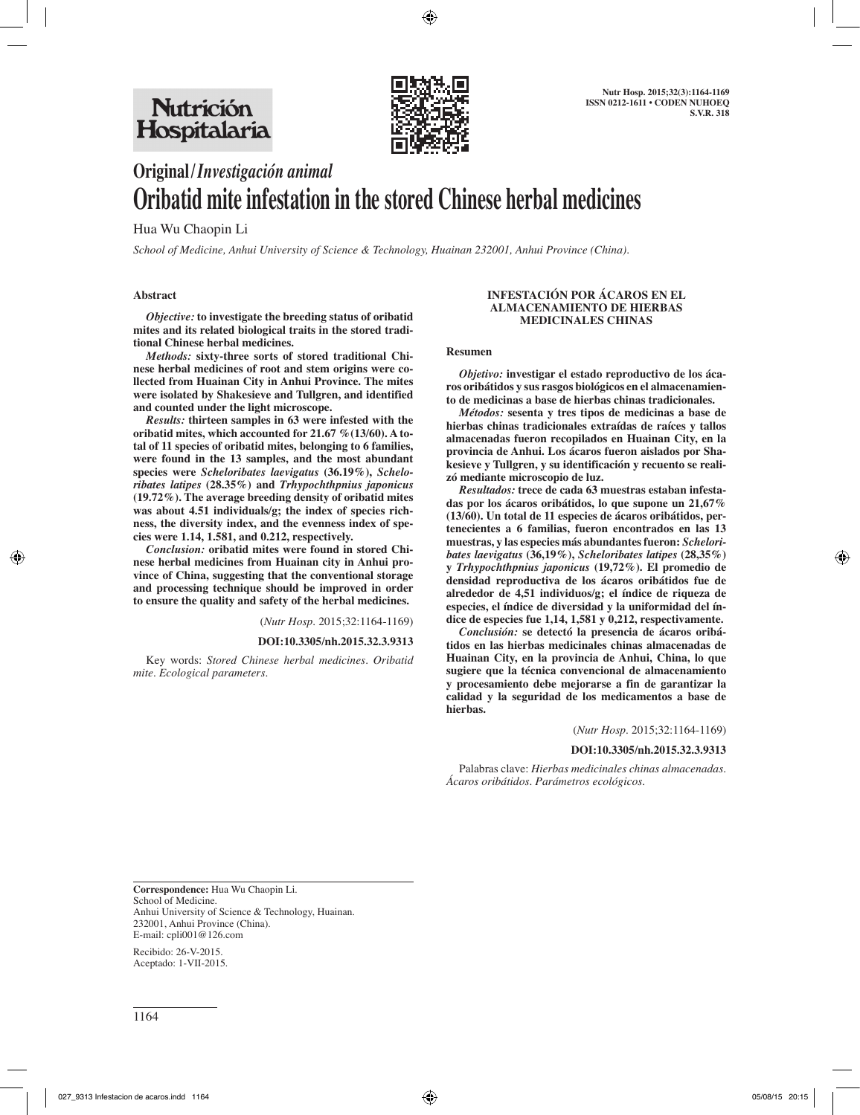

# **Original/***Investigación animal* **Oribatid mite infestation in the stored Chinese herbal medicines**

Hua Wu Chaopin Li

*School of Medicine, Anhui University of Science & Technology, Huainan 232001, Anhui Province (China).*

## **Abstract**

*Objective:* **to investigate the breeding status of oribatid mites and its related biological traits in the stored traditional Chinese herbal medicines.**

*Methods:* **sixty-three sorts of stored traditional Chinese herbal medicines of root and stem origins were collected from Huainan City in Anhui Province. The mites were isolated by Shakesieve and Tullgren, and identified and counted under the light microscope.**

*Results:* **thirteen samples in 63 were infested with the oribatid mites, which accounted for 21.67 %(13/60). A total of 11 species of oribatid mites, belonging to 6 families, were found in the 13 samples, and the most abundant species were** *Scheloribates laevigatus* **(36.19%),** *Scheloribates latipes* **(28.35%) and** *Trhypochthpnius japonicus*  **(19.72%). The average breeding density of oribatid mites was about 4.51 individuals/g; the index of species richness, the diversity index, and the evenness index of species were 1.14, 1.581, and 0.212, respectively.**

*Conclusion:* **oribatid mites were found in stored Chinese herbal medicines from Huainan city in Anhui province of China, suggesting that the conventional storage and processing technique should be improved in order to ensure the quality and safety of the herbal medicines.**

(*Nutr Hosp.* 2015;32:1164-1169)

**DOI:10.3305/nh.2015.32.3.9313**

Key words: *Stored Chinese herbal medicines. Oribatid mite. Ecological parameters.*

#### **INFESTACIÓN POR ÁCAROS EN EL ALMACENAMIENTO DE HIERBAS MEDICINALES CHINAS**

#### **Resumen**

*Objetivo:* **investigar el estado reproductivo de los ácaros oribátidos y sus rasgos biológicos en el almacenamiento de medicinas a base de hierbas chinas tradicionales.**

*Métodos:* **sesenta y tres tipos de medicinas a base de hierbas chinas tradicionales extraídas de raíces y tallos almacenadas fueron recopilados en Huainan City, en la provincia de Anhui. Los ácaros fueron aislados por Shakesieve y Tullgren, y su identificación y recuento se realizó mediante microscopio de luz.**

*Resultados:* **trece de cada 63 muestras estaban infestadas por los ácaros oribátidos, lo que supone un 21,67% (13/60). Un total de 11 especies de ácaros oribátidos, pertenecientes a 6 familias, fueron encontrados en las 13 muestras, y las especies más abundantes fueron:** *Scheloribates laevigatus* **(36,19%),** *Scheloribates latipes* **(28,35%) y** *Trhypochthpnius japonicus* **(19,72%). El promedio de densidad reproductiva de los ácaros oribátidos fue de alrededor de 4,51 individuos/g; el índice de riqueza de especies, el índice de diversidad y la uniformidad del índice de especies fue 1,14, 1,581 y 0,212, respectivamente.**

*Conclusión:* **se detectó la presencia de ácaros oribátidos en las hierbas medicinales chinas almacenadas de Huainan City, en la provincia de Anhui, China, lo que sugiere que la técnica convencional de almacenamiento y procesamiento debe mejorarse a fin de garantizar la calidad y la seguridad de los medicamentos a base de hierbas.**

(*Nutr Hosp.* 2015;32:1164-1169)

#### **DOI:10.3305/nh.2015.32.3.9313**

Palabras clave: *Hierbas medicinales chinas almacenadas. Ácaros oribátidos. Parámetros ecológicos.*

**Correspondence:** Hua Wu Chaopin Li. School of Medicine. Anhui University of Science & Technology, Huainan. 232001, Anhui Province (China). E-mail: cpli001@126.com

Recibido: 26-V-2015. Aceptado: 1-VII-2015.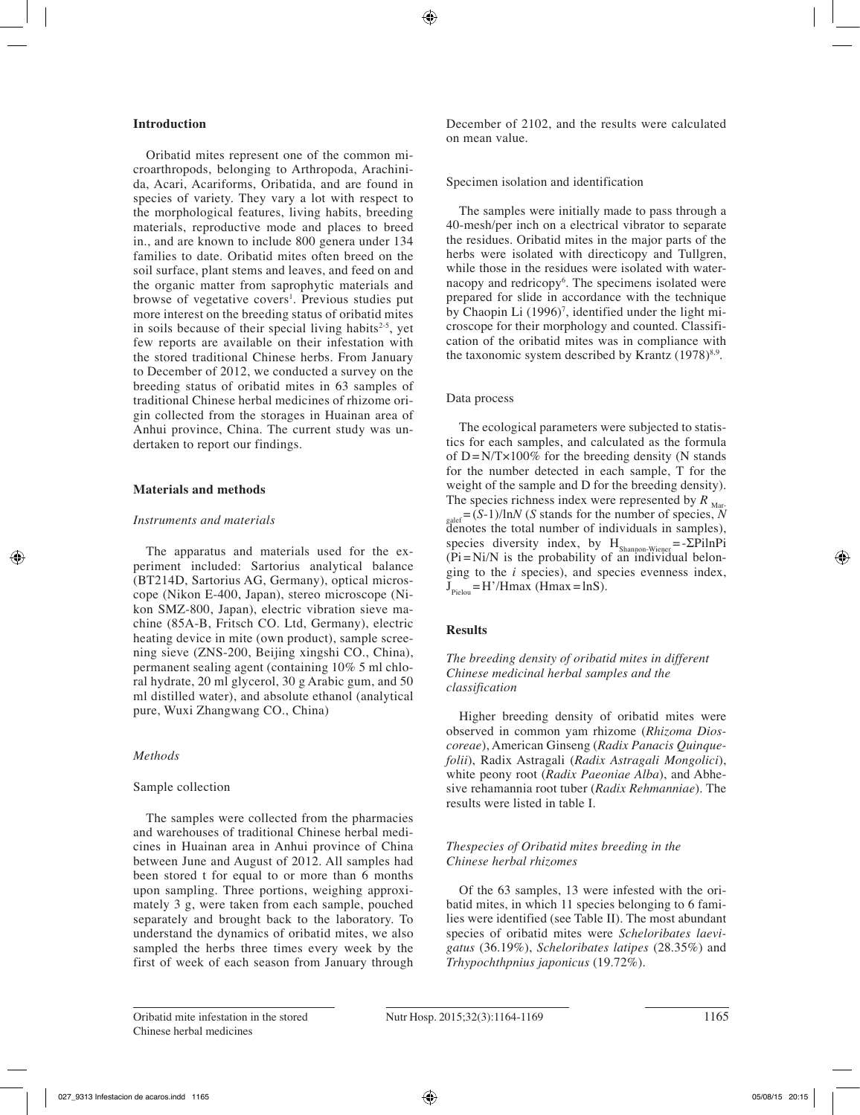## **Introduction**

Oribatid mites represent one of the common microarthropods, belonging to Arthropoda, Arachinida, Acari, Acariforms, Oribatida, and are found in species of variety. They vary a lot with respect to the morphological features, living habits, breeding materials, reproductive mode and places to breed in., and are known to include 800 genera under 134 families to date. Oribatid mites often breed on the soil surface, plant stems and leaves, and feed on and the organic matter from saprophytic materials and browse of vegetative covers<sup>1</sup>. Previous studies put more interest on the breeding status of oribatid mites in soils because of their special living habits $2-5$ , yet few reports are available on their infestation with the stored traditional Chinese herbs. From January to December of 2012, we conducted a survey on the breeding status of oribatid mites in 63 samples of traditional Chinese herbal medicines of rhizome origin collected from the storages in Huainan area of Anhui province, China. The current study was undertaken to report our findings.

## **Materials and methods**

### *Instruments and materials*

The apparatus and materials used for the experiment included: Sartorius analytical balance (BT214D, Sartorius AG, Germany), optical microscope (Nikon E-400, Japan), stereo microscope (Nikon SMZ-800, Japan), electric vibration sieve machine (85A-B, Fritsch CO. Ltd, Germany), electric heating device in mite (own product), sample screening sieve (ZNS-200, Beijing xingshi CO., China), permanent sealing agent (containing 10% 5 ml chloral hydrate, 20 ml glycerol, 30 g Arabic gum, and 50 ml distilled water), and absolute ethanol (analytical pure, Wuxi Zhangwang CO., China)

### *Methods*

#### Sample collection

The samples were collected from the pharmacies and warehouses of traditional Chinese herbal medicines in Huainan area in Anhui province of China between June and August of 2012. All samples had been stored t for equal to or more than 6 months upon sampling. Three portions, weighing approximately 3 g, were taken from each sample, pouched separately and brought back to the laboratory. To understand the dynamics of oribatid mites, we also sampled the herbs three times every week by the first of week of each season from January through December of 2102, and the results were calculated on mean value.

## Specimen isolation and identification

The samples were initially made to pass through a 40-mesh/per inch on a electrical vibrator to separate the residues. Oribatid mites in the major parts of the herbs were isolated with directicopy and Tullgren, while those in the residues were isolated with waternacopy and redricopy<sup>6</sup>. The specimens isolated were prepared for slide in accordance with the technique by Chaopin Li (1996)<sup>7</sup>, identified under the light microscope for their morphology and counted. Classification of the oribatid mites was in compliance with the taxonomic system described by Krantz  $(1978)^{8.9}$ .

## Data process

The ecological parameters were subjected to statistics for each samples, and calculated as the formula of  $D = N/T \times 100\%$  for the breeding density (N stands for the number detected in each sample, T for the weight of the sample and D for the breeding density). The species richness index were represented by  $R_{\text{Mar}}$  $_{\text{galef}} = (S-1)/\ln N$  (*S* stands for the number of species, *N* denotes the total number of individuals in samples), species diversity index, by  $H_{Shannon-Wiener} = -\sum$ PilnPi  $(Pi = Ni/N)$  is the probability of an individual belonging to the *i* species), and species evenness index,  $J_{\text{p}_{\text{ielou}}}=H'/\text{Hmax}$  (Hmax = lnS).

## **Results**

*The breeding density of oribatid mites in different Chinese medicinal herbal samples and the classification*

Higher breeding density of oribatid mites were observed in common yam rhizome (*Rhizoma Dioscoreae*), American Ginseng (*Radix Panacis Quinquefolii*), Radix Astragali (*Radix Astragali Mongolici*), white peony root (*Radix Paeoniae Alba*), and Abhesive rehamannia root tuber (*Radix Rehmanniae*). The results were listed in table I.

## *Thespecies of Oribatid mites breeding in the Chinese herbal rhizomes*

Of the 63 samples, 13 were infested with the oribatid mites, in which 11 species belonging to 6 families were identified (see Table II). The most abundant species of oribatid mites were *Scheloribates laevigatus* (36.19%), *Scheloribates latipes* (28.35%) and *Trhypochthpnius japonicus* (19.72%).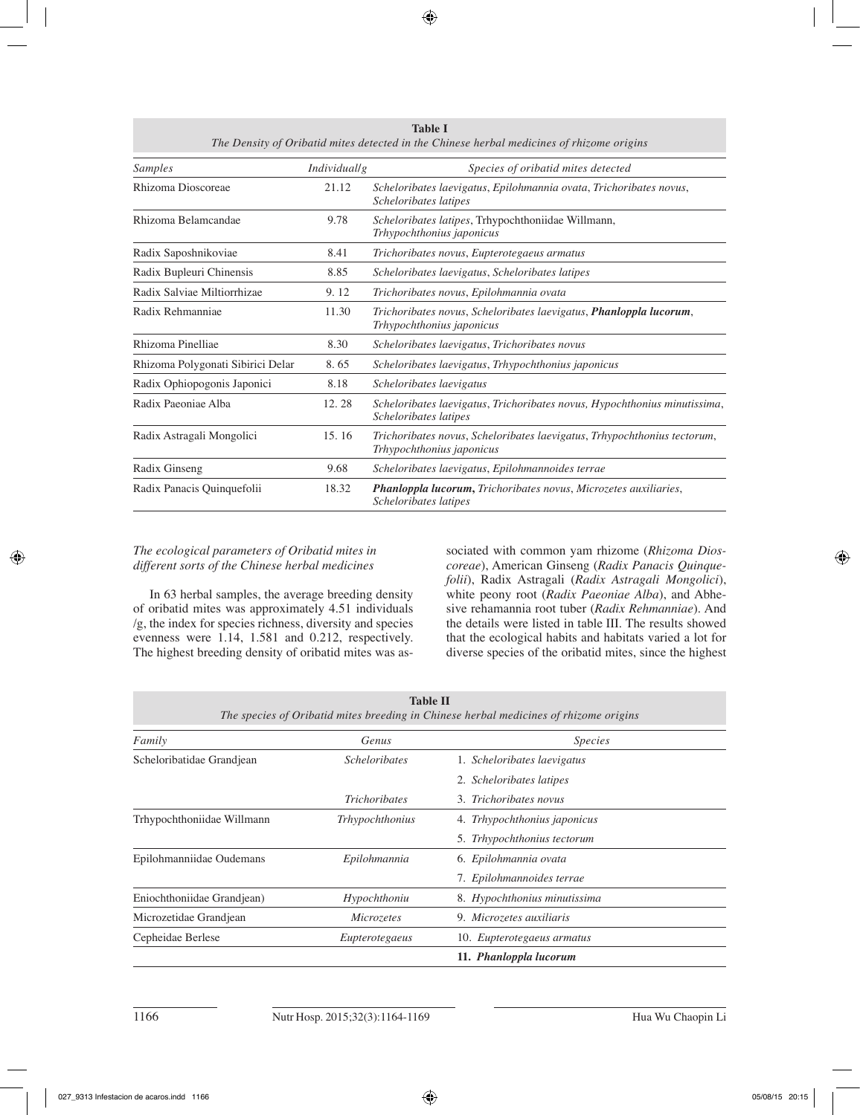| Samples                           | <i>Individuallg</i> | Species of oribatid mites detected                                                                      |  |
|-----------------------------------|---------------------|---------------------------------------------------------------------------------------------------------|--|
| Rhizoma Dioscoreae                | 21.12               | Scheloribates laevigatus, Epilohmannia ovata, Trichoribates novus,<br>Scheloribates latipes             |  |
| Rhizoma Belamcandae               | 9.78                | Scheloribates latipes, Trhypochthoniidae Willmann,<br>Trhypochthonius japonicus                         |  |
| Radix Saposhnikoviae              | 8.41                | Trichoribates novus, Eupterotegaeus armatus                                                             |  |
| Radix Bupleuri Chinensis          | 8.85                | Scheloribates laevigatus, Scheloribates latipes                                                         |  |
| Radix Salviae Miltiorrhizae       | 9.12                | Trichoribates novus, Epilohmannia ovata                                                                 |  |
| Radix Rehmanniae                  | 11.30               | Trichoribates novus, Scheloribates laevigatus, <b>Phanloppla lucorum</b> ,<br>Trhypochthonius japonicus |  |
| Rhizoma Pinelliae                 | 8.30                | Scheloribates laevigatus, Trichoribates novus                                                           |  |
| Rhizoma Polygonati Sibirici Delar | 8.65                | Scheloribates laevigatus, Trhypochthonius japonicus                                                     |  |
| Radix Ophiopogonis Japonici       | 8.18                | Scheloribates laevigatus                                                                                |  |
| Radix Paeoniae Alba               | 12.28               | Scheloribates laevigatus, Trichoribates novus, Hypochthonius minutissima,<br>Scheloribates latipes      |  |
| Radix Astragali Mongolici         | 15.16               | Trichoribates novus, Scheloribates laevigatus, Trhypochthonius tectorum,<br>Trhypochthonius japonicus   |  |
| Radix Ginseng                     | 9.68                | Scheloribates laevigatus, Epilohmannoides terrae                                                        |  |
| Radix Panacis Quinquefolii        | 18.32               | <b>Phanloppla lucorum,</b> Trichoribates novus, Microzetes auxiliaries,<br>Scheloribates latipes        |  |

**Table I** *The Density of Oribatid mites detected in the Chinese herbal medicines of rhizome origins*

# *The ecological parameters of Oribatid mites in different sorts of the Chinese herbal medicines*

In 63 herbal samples, the average breeding density of oribatid mites was approximately 4.51 individuals /g, the index for species richness, diversity and species evenness were 1.14, 1.581 and 0.212, respectively. The highest breeding density of oribatid mites was as-

sociated with common yam rhizome (*Rhizoma Dioscoreae*), American Ginseng (*Radix Panacis Quinquefolii*), Radix Astragali (*Radix Astragali Mongolici*), white peony root (*Radix Paeoniae Alba*), and Abhesive rehamannia root tuber (*Radix Rehmanniae*). And the details were listed in table III. The results showed that the ecological habits and habitats varied a lot for diverse species of the oribatid mites, since the highest

| <b>Table II</b><br>The species of Oribatid mites breeding in Chinese herbal medicines of rhizome origins |                             |                              |  |  |  |  |
|----------------------------------------------------------------------------------------------------------|-----------------------------|------------------------------|--|--|--|--|
| Family                                                                                                   | Genus                       | <i>Species</i>               |  |  |  |  |
| Scheloribatidae Grandjean                                                                                | <i><u>Scheloribates</u></i> | 1. Scheloribates laevigatus  |  |  |  |  |
|                                                                                                          |                             | 2. Scheloribates latipes     |  |  |  |  |
|                                                                                                          | <b>Trichoribates</b>        | 3. Trichoribates novus       |  |  |  |  |
| Trhypochthoniidae Willmann                                                                               | Trhypochthonius             | 4. Trhypochthonius japonicus |  |  |  |  |
|                                                                                                          |                             | 5. Trhypochthonius tectorum  |  |  |  |  |
| Epilohmanniidae Oudemans                                                                                 | Epilohmannia                | 6. Epilohmannia ovata        |  |  |  |  |
|                                                                                                          |                             | 7. Epilohmannoides terrae    |  |  |  |  |
| Eniochthoniidae Grandjean)                                                                               | Hypochthoniu                | 8. Hypochthonius minutissima |  |  |  |  |
| Microzetidae Grandjean                                                                                   | Microzetes                  | 9. Microzetes auxiliaris     |  |  |  |  |
| Cepheidae Berlese                                                                                        | Eupterotegaeus              | 10. Eupterotegaeus armatus   |  |  |  |  |
|                                                                                                          |                             | 11. Phanloppla lucorum       |  |  |  |  |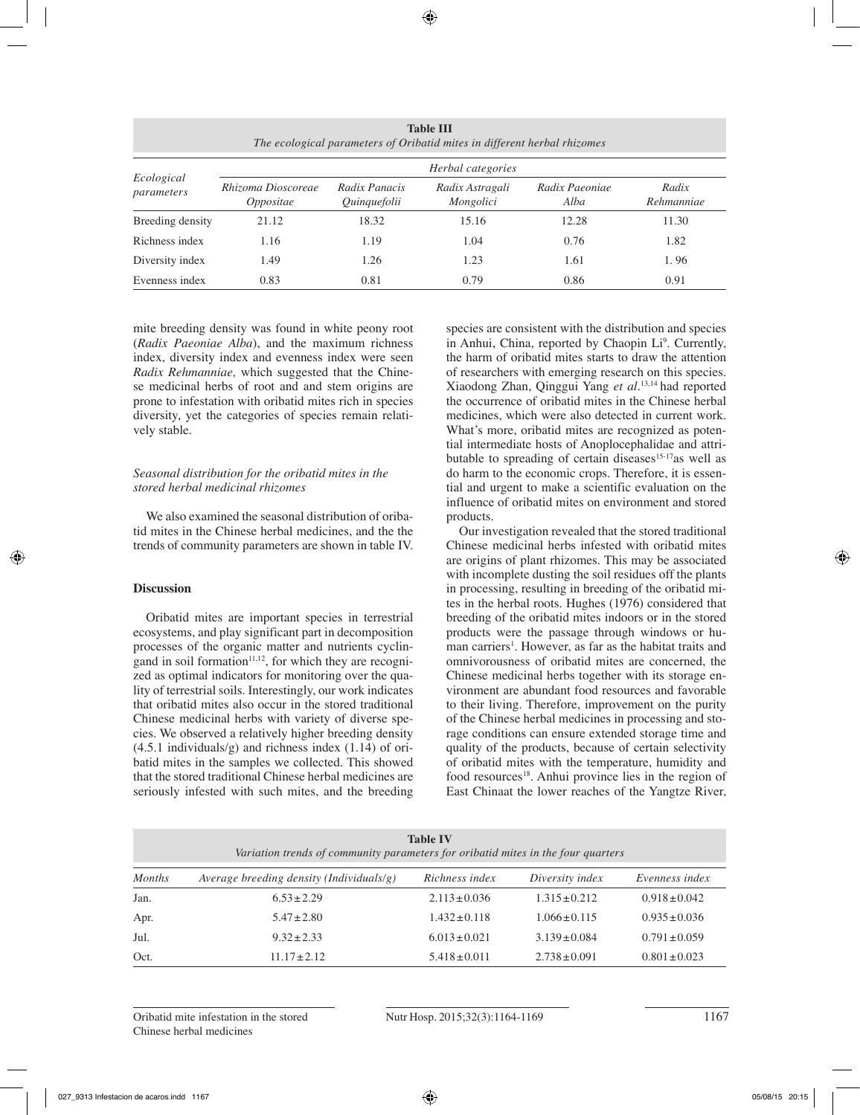| <b>Table III</b><br>The ecological parameters of Oribatid mites in different herbal rhizomes |                                 |                               |                              |                        |                     |  |  |  |  |
|----------------------------------------------------------------------------------------------|---------------------------------|-------------------------------|------------------------------|------------------------|---------------------|--|--|--|--|
| Ecological<br>parameters                                                                     | Herbal categories               |                               |                              |                        |                     |  |  |  |  |
|                                                                                              | Rhizoma Dioscoreae<br>Oppositae | Radix Panacis<br>Quinquefolii | Radix Astragali<br>Mongolici | Radix Paeoniae<br>Alba | Radix<br>Rehmanniae |  |  |  |  |
| Breeding density                                                                             | 21.12                           | 18.32                         | 15.16                        | 12.28                  | 11.30               |  |  |  |  |
| Richness index                                                                               | 1.16                            | 1.19                          | 1.04                         | 0.76                   | 1.82                |  |  |  |  |
| Diversity index                                                                              | 1.49                            | 1.26                          | 1.23                         | 1.61                   | 1.96                |  |  |  |  |
| Evenness index                                                                               | 0.83                            | 0.81                          | 0.79                         | 0.86                   | 0.91                |  |  |  |  |

mite breeding density was found in white peony root (*Radix Paeoniae Alba*), and the maximum richness index, diversity index and evenness index were seen *Radix Rehmanniae,* which suggested that the Chinese medicinal herbs of root and and stem origins are prone to infestation with oribatid mites rich in species diversity, yet the categories of species remain relatively stable.

## *Seasonal distribution for the oribatid mites in the stored herbal medicinal rhizomes*

We also examined the seasonal distribution of oribatid mites in the Chinese herbal medicines, and the the trends of community parameters are shown in table IV.

# **Discussion**

Oribatid mites are important species in terrestrial ecosystems, and play significant part in decomposition processes of the organic matter and nutrients cyclingand in soil formation<sup>11,12</sup>, for which they are recognized as optimal indicators for monitoring over the quality of terrestrial soils. Interestingly, our work indicates that oribatid mites also occur in the stored traditional Chinese medicinal herbs with variety of diverse species. We observed a relatively higher breeding density (4.5.1 individuals/g) and richness index (1.14) of oribatid mites in the samples we collected. This showed that the stored traditional Chinese herbal medicines are seriously infested with such mites, and the breeding species are consistent with the distribution and species in Anhui, China, reported by Chaopin Li<sup>9</sup>. Currently, the harm of oribatid mites starts to draw the attention of researchers with emerging research on this species. Xiaodong Zhan, Qinggui Yang *et al.*13,14 had reported the occurrence of oribatid mites in the Chinese herbal medicines, which were also detected in current work. What's more, oribatid mites are recognized as potential intermediate hosts of Anoplocephalidae and attributable to spreading of certain diseases $15-17$ as well as do harm to the economic crops. Therefore, it is essential and urgent to make a scientific evaluation on the influence of oribatid mites on environment and stored products.

Our investigation revealed that the stored traditional Chinese medicinal herbs infested with oribatid mites are origins of plant rhizomes. This may be associated with incomplete dusting the soil residues off the plants in processing, resulting in breeding of the oribatid mites in the herbal roots. Hughes (1976) considered that breeding of the oribatid mites indoors or in the stored products were the passage through windows or human carriers<sup>1</sup>. However, as far as the habitat traits and omnivorousness of oribatid mites are concerned, the Chinese medicinal herbs together with its storage environment are abundant food resources and favorable to their living. Therefore, improvement on the purity of the Chinese herbal medicines in processing and storage conditions can ensure extended storage time and quality of the products, because of certain selectivity of oribatid mites with the temperature, humidity and food resources<sup>18</sup>. Anhui province lies in the region of East Chinaat the lower reaches of the Yangtze River,

| <b>Table IV</b><br>Variation trends of community parameters for oribatid mites in the four quarters |                                          |                   |                   |                   |  |  |  |  |
|-----------------------------------------------------------------------------------------------------|------------------------------------------|-------------------|-------------------|-------------------|--|--|--|--|
| <b>Months</b>                                                                                       | Average breeding density (Individuals/g) | Richness index    | Diversity index   | Evenness index    |  |  |  |  |
| Jan.                                                                                                | $6.53 \pm 2.29$                          | $2.113 \pm 0.036$ | $1.315 \pm 0.212$ | $0.918 \pm 0.042$ |  |  |  |  |
| Apr.                                                                                                | $5.47 \pm 2.80$                          | $1.432 \pm 0.118$ | $1.066 \pm 0.115$ | $0.935 \pm 0.036$ |  |  |  |  |
| Jul.                                                                                                | $9.32 \pm 2.33$                          | $6.013 \pm 0.021$ | $3.139 \pm 0.084$ | $0.791 \pm 0.059$ |  |  |  |  |
| Oct.                                                                                                | $11.17 \pm 2.12$                         | $5.418 \pm 0.011$ | $2.738 \pm 0.091$ | $0.801 \pm 0.023$ |  |  |  |  |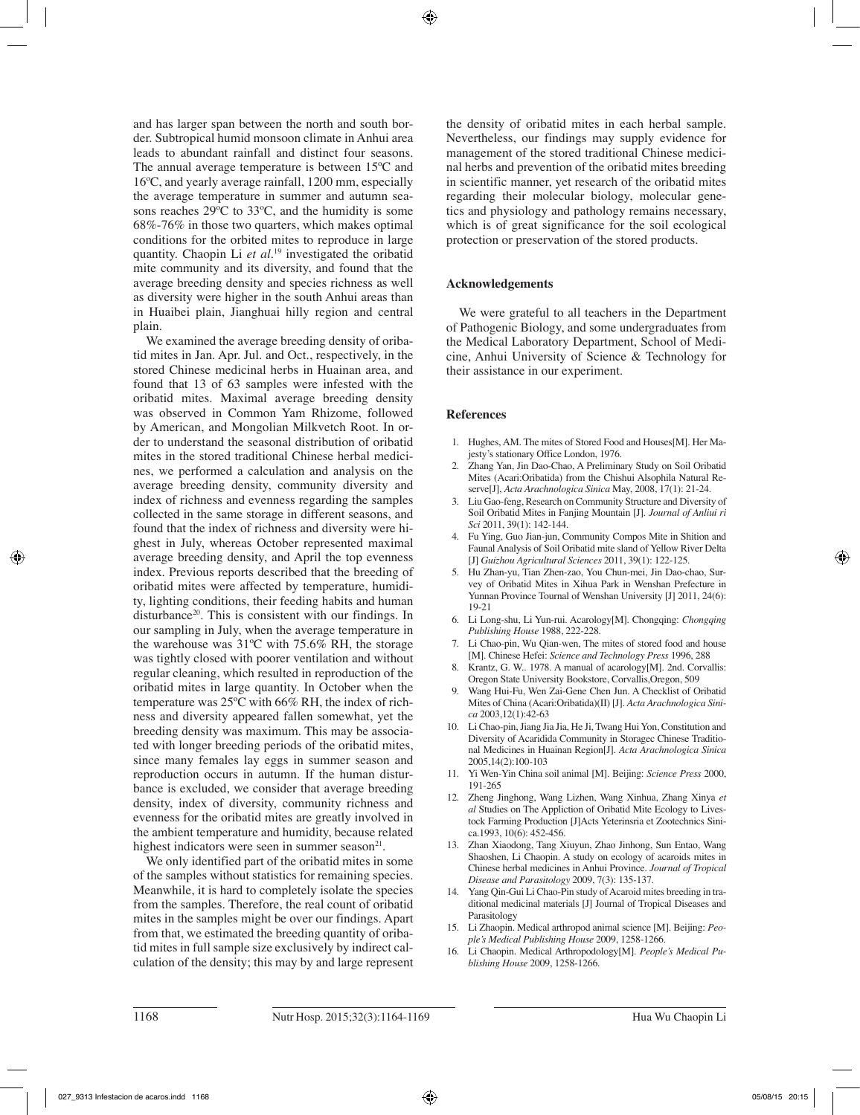and has larger span between the north and south border. Subtropical humid monsoon climate in Anhui area leads to abundant rainfall and distinct four seasons. The annual average temperature is between 15ºC and 16ºC, and yearly average rainfall, 1200 mm, especially the average temperature in summer and autumn seasons reaches 29ºC to 33ºC, and the humidity is some 68%-76% in those two quarters, which makes optimal conditions for the orbited mites to reproduce in large quantity. Chaopin Li *et al*. 19 investigated the oribatid mite community and its diversity, and found that the average breeding density and species richness as well as diversity were higher in the south Anhui areas than in Huaibei plain, Jianghuai hilly region and central plain.

We examined the average breeding density of oribatid mites in Jan. Apr. Jul. and Oct., respectively, in the stored Chinese medicinal herbs in Huainan area, and found that 13 of 63 samples were infested with the oribatid mites. Maximal average breeding density was observed in Common Yam Rhizome, followed by American, and Mongolian Milkvetch Root. In order to understand the seasonal distribution of oribatid mites in the stored traditional Chinese herbal medicines, we performed a calculation and analysis on the average breeding density, community diversity and index of richness and evenness regarding the samples collected in the same storage in different seasons, and found that the index of richness and diversity were highest in July, whereas October represented maximal average breeding density, and April the top evenness index. Previous reports described that the breeding of oribatid mites were affected by temperature, humidity, lighting conditions, their feeding habits and human disturbance<sup>20</sup>. This is consistent with our findings. In our sampling in July, when the average temperature in the warehouse was 31ºC with 75.6% RH, the storage was tightly closed with poorer ventilation and without regular cleaning, which resulted in reproduction of the oribatid mites in large quantity. In October when the temperature was 25ºC with 66% RH, the index of richness and diversity appeared fallen somewhat, yet the breeding density was maximum. This may be associated with longer breeding periods of the oribatid mites, since many females lay eggs in summer season and reproduction occurs in autumn. If the human disturbance is excluded, we consider that average breeding density, index of diversity, community richness and evenness for the oribatid mites are greatly involved in the ambient temperature and humidity, because related highest indicators were seen in summer season $21$ .

We only identified part of the oribatid mites in some of the samples without statistics for remaining species. Meanwhile, it is hard to completely isolate the species from the samples. Therefore, the real count of oribatid mites in the samples might be over our findings. Apart from that, we estimated the breeding quantity of oribatid mites in full sample size exclusively by indirect calculation of the density; this may by and large represent the density of oribatid mites in each herbal sample. Nevertheless, our findings may supply evidence for management of the stored traditional Chinese medicinal herbs and prevention of the oribatid mites breeding in scientific manner, yet research of the oribatid mites regarding their molecular biology, molecular genetics and physiology and pathology remains necessary, which is of great significance for the soil ecological protection or preservation of the stored products.

## **Acknowledgements**

We were grateful to all teachers in the Department of Pathogenic Biology, and some undergraduates from the Medical Laboratory Department, School of Medicine, Anhui University of Science & Technology for their assistance in our experiment.

## **References**

- 1. Hughes, AM. The mites of Stored Food and Houses[M]. Her Majesty's stationary Office London, 1976.
- 2. Zhang Yan, Jin Dao-Chao, A Preliminary Study on Soil Oribatid Mites (Acari:Oribatida) from the Chishui Alsophila Natural Reserve[J], *Acta Arachnologica Sinica* May, 2008, 17(1): 21-24.
- 3. Liu Gao-feng, Research on Community Structure and Diversity of Soil Oribatid Mites in Fanjing Mountain [J]. *Journal of Anliui ri Sci* 2011, 39(1): 142-144.
- 4. Fu Ying, Guo Jian-jun, Community Compos Mite in Shition and Faunal Analysis of Soil Oribatid mite sland of Yellow River Delta [J] *Guizhou Agricultural Sciences* 2011, 39(1): 122-125.
- 5. Hu Zhan-yu, Tian Zhen-zao, You Chun-mei, Jin Dao-chao, Survey of Oribatid Mites in Xihua Park in Wenshan Prefecture in Yunnan Province Tournal of Wenshan University [J] 2011, 24(6): 19-21
- 6. Li Long-shu, Li Yun-rui. Acarology[M]. Chongqing: *Chongqing Publishing House* 1988, 222-228.
- 7. Li Chao-pin, Wu Qian-wen, The mites of stored food and house [M]. Chinese Hefei: *Science and Technology Press* 1996, 288
- 8. Krantz, G. W.. 1978. A manual of acarology[M]. 2nd. Corvallis: Oregon State University Bookstore, Corvallis,Oregon, 509
- 9. Wang Hui-Fu, Wen Zai-Gene Chen Jun. A Checklist of Oribatid Mites of China (Acari:Oribatida)(II) [J]. *Acta Arachnologica Sinica* 2003,12(1):42-63
- 10. Li Chao-pin, Jiang Jia Jia, He Ji, Twang Hui Yon, Constitution and Diversity of Acaridida Community in Storagec Chinese Traditional Medicines in Huainan Region[J]. *Acta Arachnologica Sinica* 2005,14(2):100-103
- 11. Yi Wen-Yin China soil animal [M]. Beijing: *Science Press* 2000, 191-265
- 12. Zheng Jinghong, Wang Lizhen, Wang Xinhua, Zhang Xinya *et al* Studies on The Appliction of Oribatid Mite Ecology to Livestock Farming Production [J]Acts Yeterinsria et Zootechnics Sini $ca.1993, 10(6)$ : 452-456.
- 13. Zhan Xiaodong, Tang Xiuyun, Zhao Jinhong, Sun Entao, Wang Shaoshen, Li Chaopin. A study on ecology of acaroids mites in Chinese herbal medicines in Anhui Province. *Journal of Tropical Disease and Parasitology* 2009, 7(3): 135-137.
- 14. Yang Qin-Gui Li Chao-Pin study of Acaroid mites breeding in traditional medicinal materials [J] Journal of Tropical Diseases and Parasitology
- 15. Li Zhaopin. Medical arthropod animal science [M]. Beijing: *People's Medical Publishing House* 2009, 1258-1266.
- Li Chaopin. Medical Arthropodology[M]. People's Medical Pu*blishing House* 2009, 1258-1266.